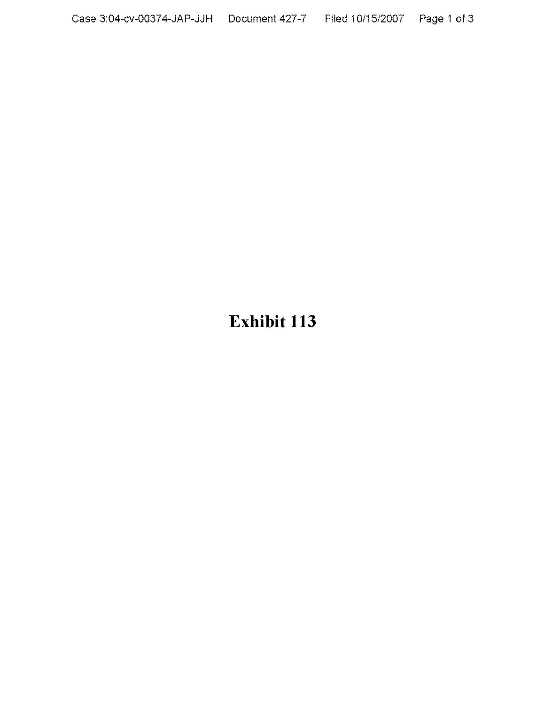## **Exhibit 113**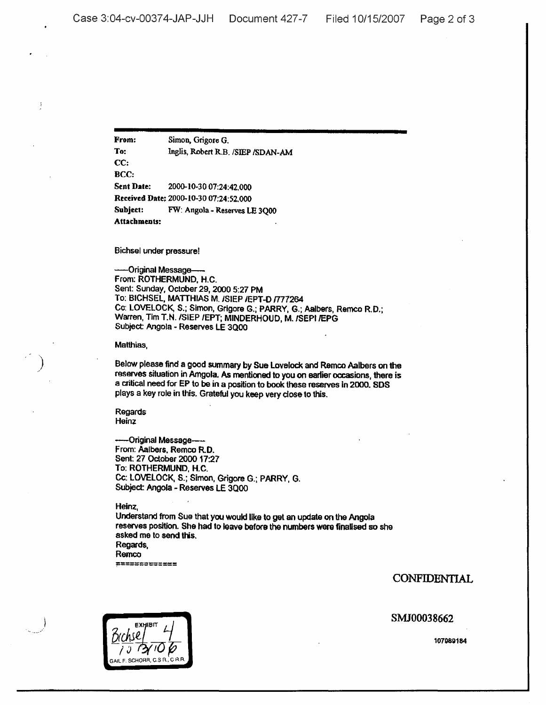From: Simon, Grigore G. To: Inglis, Rebert R.B. *ISIEP* /SDAN-AM CC: BCC: Sent Date: 2000-10-3007:24:42.000 Received Date: 2000-10-30 07:24:52.000 Subject: FW: Angola - Reserves LE 3QOO Attachmeuts:

Bichsel under pressure!

-Original Message-From: ROTHERMUND. H.C. Sent: Sunday, October 29, 2000 5:27 PM To: BICHSEL, MATTHIAS M. /SIEP /EPT-D /777264 Cc: LOVELOCK, S.; Simon, Grigore G.; PARRY, G.; Aalbers, Remco R.D.; Warren, Tim T.N./SIEP JEPT; MINDERHOUD, M. JSEPI /EPG Subject: Angola - Reserves LE 3Qoo

Matthias.

)

Ť

Below please find a good summary by Sue Lovelock and Remco Aalbers on the reserves situation in Amgola. As mentioned to you on earlier occasions. there is a critical need for EP to be in a position to book these reserves in 2000. SOS plays a key role in this. Grateful you keep very dose to this.

Regards **Heinz** 

-Original Message---From: Aalbers. Remco R.D. Sent: 27 Odober 2000 17:27 To: ROTHERMUND, H.C. Cc: lOVELOCK, S.; Simon. Grigore G.; PARRY, G. Subject: Angola - Reserves LE 3Q00

Heinz,

Understand from Sue that you would like to get an update on the Angola reserves position. She had to leave before the numbers were finalised so she asked me to send this. Regards, Remco

**;:===========**

CONFIDENTIAL

SMJ00038662

 $Brh$ sel<sup>161</sup> 4 I <sup>J</sup> *f?Jrf(jp* GAlL F. SCHORR, C.S n.. c RA.

107989184